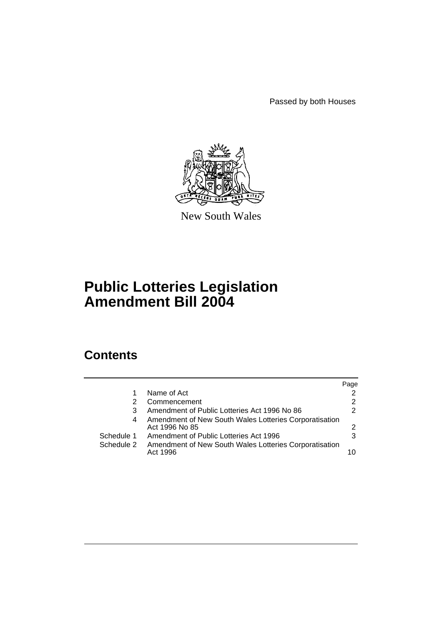Passed by both Houses



New South Wales

# **Public Lotteries Legislation Amendment Bill 2004**

# **Contents**

|            |   |                                                                          | Page |
|------------|---|--------------------------------------------------------------------------|------|
|            |   | Name of Act                                                              |      |
|            |   | Commencement                                                             | 2    |
|            | 3 | Amendment of Public Lotteries Act 1996 No 86                             | 2    |
|            | 4 | Amendment of New South Wales Lotteries Corporatisation<br>Act 1996 No 85 |      |
| Schedule 1 |   | Amendment of Public Lotteries Act 1996                                   | 3    |
| Schedule 2 |   | Amendment of New South Wales Lotteries Corporatisation<br>Act 1996       | 10   |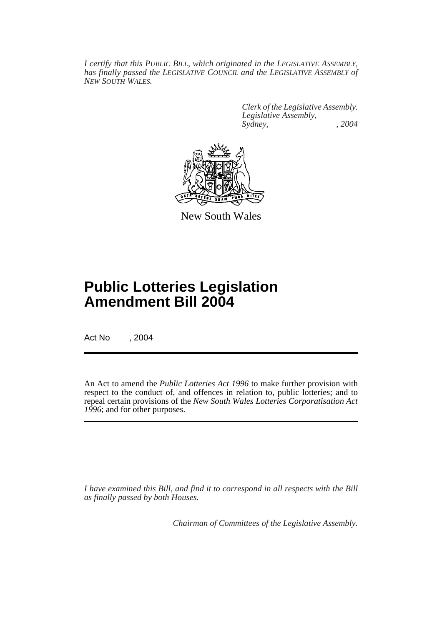*I certify that this PUBLIC BILL, which originated in the LEGISLATIVE ASSEMBLY, has finally passed the LEGISLATIVE COUNCIL and the LEGISLATIVE ASSEMBLY of NEW SOUTH WALES.*

> *Clerk of the Legislative Assembly. Legislative Assembly, Sydney, , 2004*



New South Wales

# **Public Lotteries Legislation Amendment Bill 2004**

Act No , 2004

An Act to amend the *Public Lotteries Act 1996* to make further provision with respect to the conduct of, and offences in relation to, public lotteries; and to repeal certain provisions of the *New South Wales Lotteries Corporatisation Act 1996*; and for other purposes.

*I have examined this Bill, and find it to correspond in all respects with the Bill as finally passed by both Houses.*

*Chairman of Committees of the Legislative Assembly.*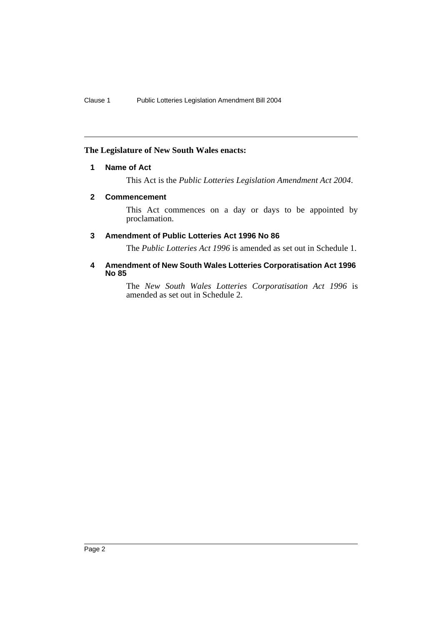# **The Legislature of New South Wales enacts:**

# **1 Name of Act**

This Act is the *Public Lotteries Legislation Amendment Act 2004*.

# **2 Commencement**

This Act commences on a day or days to be appointed by proclamation.

# **3 Amendment of Public Lotteries Act 1996 No 86**

The *Public Lotteries Act 1996* is amended as set out in Schedule 1.

# **4 Amendment of New South Wales Lotteries Corporatisation Act 1996 No 85**

The *New South Wales Lotteries Corporatisation Act 1996* is amended as set out in Schedule 2.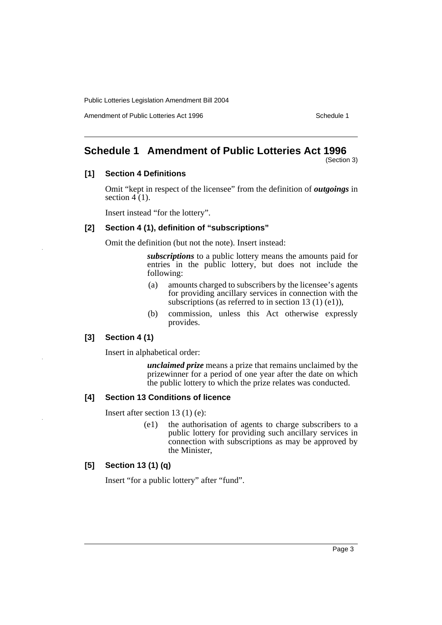Amendment of Public Lotteries Act 1996 New York Schedule 1

# **Schedule 1 Amendment of Public Lotteries Act 1996**

(Section 3)

# **[1] Section 4 Definitions**

Omit "kept in respect of the licensee" from the definition of *outgoings* in section  $4(1)$ .

Insert instead "for the lottery".

#### **[2] Section 4 (1), definition of "subscriptions"**

Omit the definition (but not the note). Insert instead:

*subscriptions* to a public lottery means the amounts paid for entries in the public lottery, but does not include the following:

- (a) amounts charged to subscribers by the licensee's agents for providing ancillary services in connection with the subscriptions (as referred to in section 13 (1) (e1)),
- (b) commission, unless this Act otherwise expressly provides.

# **[3] Section 4 (1)**

Insert in alphabetical order:

*unclaimed prize* means a prize that remains unclaimed by the prizewinner for a period of one year after the date on which the public lottery to which the prize relates was conducted.

#### **[4] Section 13 Conditions of licence**

Insert after section 13 (1) (e):

(e1) the authorisation of agents to charge subscribers to a public lottery for providing such ancillary services in connection with subscriptions as may be approved by the Minister,

# **[5] Section 13 (1) (q)**

Insert "for a public lottery" after "fund".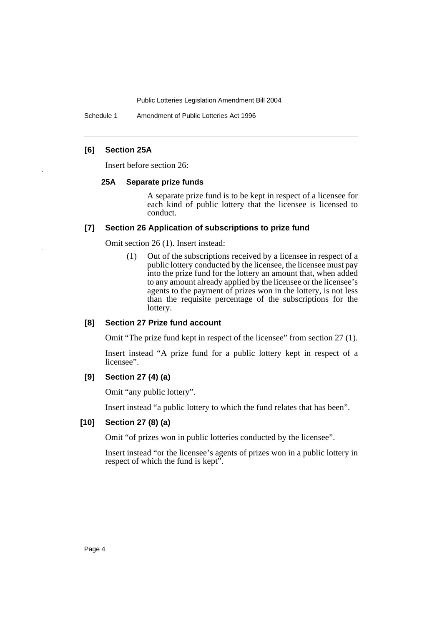Schedule 1 Amendment of Public Lotteries Act 1996

# **[6] Section 25A**

Insert before section 26:

#### **25A Separate prize funds**

A separate prize fund is to be kept in respect of a licensee for each kind of public lottery that the licensee is licensed to conduct.

#### **[7] Section 26 Application of subscriptions to prize fund**

Omit section 26 (1). Insert instead:

(1) Out of the subscriptions received by a licensee in respect of a public lottery conducted by the licensee, the licensee must pay into the prize fund for the lottery an amount that, when added to any amount already applied by the licensee or the licensee's agents to the payment of prizes won in the lottery, is not less than the requisite percentage of the subscriptions for the lottery.

#### **[8] Section 27 Prize fund account**

Omit "The prize fund kept in respect of the licensee" from section 27 (1).

Insert instead "A prize fund for a public lottery kept in respect of a licensee".

# **[9] Section 27 (4) (a)**

Omit "any public lottery".

Insert instead "a public lottery to which the fund relates that has been".

# **[10] Section 27 (8) (a)**

Omit "of prizes won in public lotteries conducted by the licensee".

Insert instead "or the licensee's agents of prizes won in a public lottery in respect of which the fund is kept".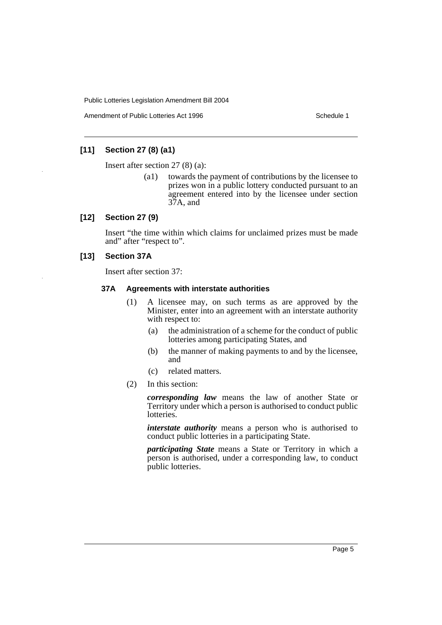Amendment of Public Lotteries Act 1996 New York Schedule 1

# **[11] Section 27 (8) (a1)**

Insert after section 27 (8) (a):

(a1) towards the payment of contributions by the licensee to prizes won in a public lottery conducted pursuant to an agreement entered into by the licensee under section 37A, and

# **[12] Section 27 (9)**

Insert "the time within which claims for unclaimed prizes must be made and" after "respect to".

# **[13] Section 37A**

Insert after section 37:

#### **37A Agreements with interstate authorities**

- (1) A licensee may, on such terms as are approved by the Minister, enter into an agreement with an interstate authority with respect to:
	- (a) the administration of a scheme for the conduct of public lotteries among participating States, and
	- (b) the manner of making payments to and by the licensee, and
	- (c) related matters.
- (2) In this section:

*corresponding law* means the law of another State or Territory under which a person is authorised to conduct public lotteries.

*interstate authority* means a person who is authorised to conduct public lotteries in a participating State.

*participating State* means a State or Territory in which a person is authorised, under a corresponding law, to conduct public lotteries.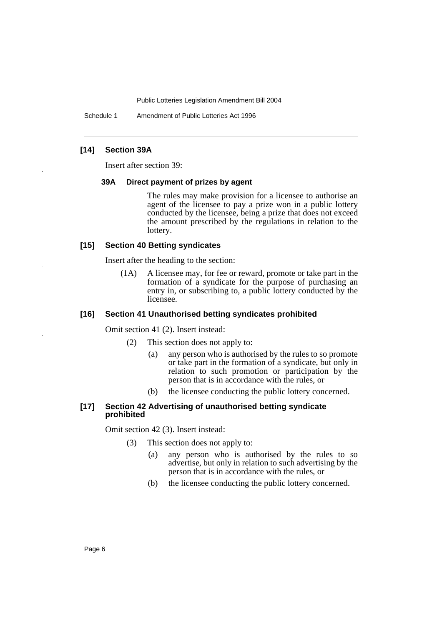Schedule 1 Amendment of Public Lotteries Act 1996

# **[14] Section 39A**

Insert after section 39:

#### **39A Direct payment of prizes by agent**

The rules may make provision for a licensee to authorise an agent of the licensee to pay a prize won in a public lottery conducted by the licensee, being a prize that does not exceed the amount prescribed by the regulations in relation to the lottery.

#### **[15] Section 40 Betting syndicates**

Insert after the heading to the section:

(1A) A licensee may, for fee or reward, promote or take part in the formation of a syndicate for the purpose of purchasing an entry in, or subscribing to, a public lottery conducted by the licensee.

#### **[16] Section 41 Unauthorised betting syndicates prohibited**

Omit section 41 (2). Insert instead:

- (2) This section does not apply to:
	- (a) any person who is authorised by the rules to so promote or take part in the formation of a syndicate, but only in relation to such promotion or participation by the person that is in accordance with the rules, or
	- (b) the licensee conducting the public lottery concerned.

#### **[17] Section 42 Advertising of unauthorised betting syndicate prohibited**

Omit section 42 (3). Insert instead:

- (3) This section does not apply to:
	- (a) any person who is authorised by the rules to so advertise, but only in relation to such advertising by the person that is in accordance with the rules, or
	- (b) the licensee conducting the public lottery concerned.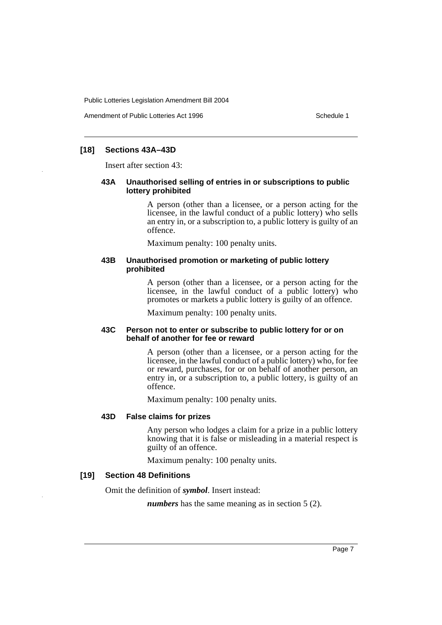Amendment of Public Lotteries Act 1996 New York Schedule 1

# **[18] Sections 43A–43D**

Insert after section 43:

#### **43A Unauthorised selling of entries in or subscriptions to public lottery prohibited**

A person (other than a licensee, or a person acting for the licensee, in the lawful conduct of a public lottery) who sells an entry in, or a subscription to, a public lottery is guilty of an offence.

Maximum penalty: 100 penalty units.

#### **43B Unauthorised promotion or marketing of public lottery prohibited**

A person (other than a licensee, or a person acting for the licensee, in the lawful conduct of a public lottery) who promotes or markets a public lottery is guilty of an offence.

Maximum penalty: 100 penalty units.

# **43C Person not to enter or subscribe to public lottery for or on behalf of another for fee or reward**

A person (other than a licensee, or a person acting for the licensee, in the lawful conduct of a public lottery) who, for fee or reward, purchases, for or on behalf of another person, an entry in, or a subscription to, a public lottery, is guilty of an offence.

Maximum penalty: 100 penalty units.

# **43D False claims for prizes**

Any person who lodges a claim for a prize in a public lottery knowing that it is false or misleading in a material respect is guilty of an offence.

Maximum penalty: 100 penalty units.

# **[19] Section 48 Definitions**

Omit the definition of *symbol*. Insert instead:

*numbers* has the same meaning as in section 5 (2).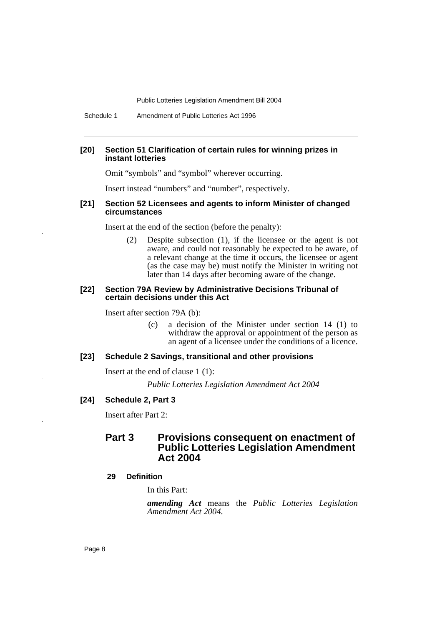Schedule 1 Amendment of Public Lotteries Act 1996

#### **[20] Section 51 Clarification of certain rules for winning prizes in instant lotteries**

Omit "symbols" and "symbol" wherever occurring.

Insert instead "numbers" and "number", respectively.

#### **[21] Section 52 Licensees and agents to inform Minister of changed circumstances**

Insert at the end of the section (before the penalty):

(2) Despite subsection (1), if the licensee or the agent is not aware, and could not reasonably be expected to be aware, of a relevant change at the time it occurs, the licensee or agent (as the case may be) must notify the Minister in writing not later than 14 days after becoming aware of the change.

#### **[22] Section 79A Review by Administrative Decisions Tribunal of certain decisions under this Act**

Insert after section 79A (b):

(c) a decision of the Minister under section 14 (1) to withdraw the approval or appointment of the person as an agent of a licensee under the conditions of a licence.

#### **[23] Schedule 2 Savings, transitional and other provisions**

Insert at the end of clause 1 (1):

*Public Lotteries Legislation Amendment Act 2004*

#### **[24] Schedule 2, Part 3**

Insert after Part 2:

# **Part 3 Provisions consequent on enactment of Public Lotteries Legislation Amendment Act 2004**

# **29 Definition**

In this Part:

*amending Act* means the *Public Lotteries Legislation Amendment Act 2004.*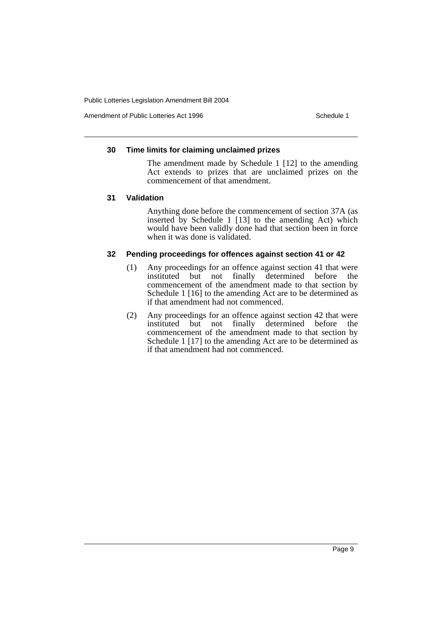Amendment of Public Lotteries Act 1996 New York Schedule 1

#### **30 Time limits for claiming unclaimed prizes**

The amendment made by Schedule 1 [12] to the amending Act extends to prizes that are unclaimed prizes on the commencement of that amendment.

#### **31 Validation**

Anything done before the commencement of section 37A (as inserted by Schedule 1 [13] to the amending Act) which would have been validly done had that section been in force when it was done is validated.

# **32 Pending proceedings for offences against section 41 or 42**

- (1) Any proceedings for an offence against section 41 that were<br>instituted but not finally determined before the instituted but not finally determined before commencement of the amendment made to that section by Schedule 1 [16] to the amending Act are to be determined as if that amendment had not commenced.
- (2) Any proceedings for an offence against section 42 that were instituted but not finally determined before the commencement of the amendment made to that section by Schedule 1 [17] to the amending Act are to be determined as if that amendment had not commenced.